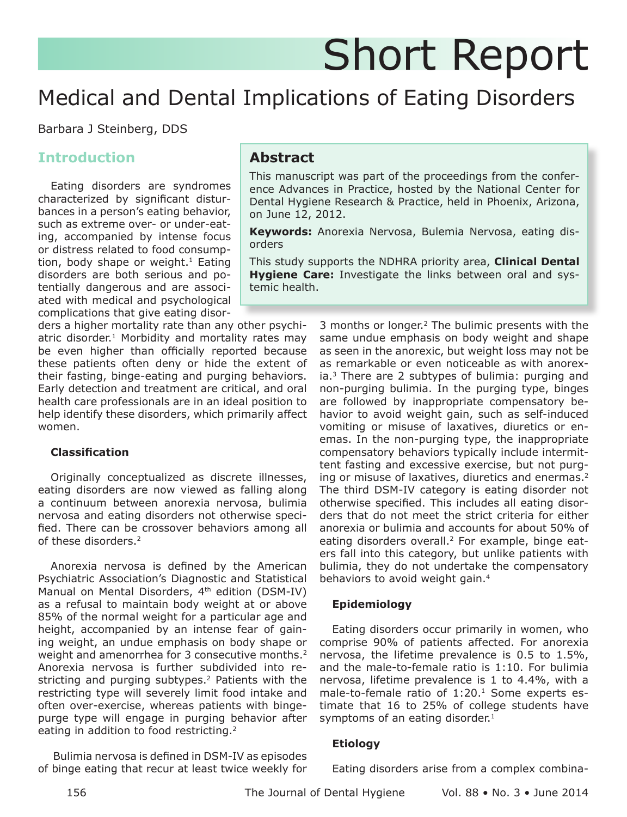# Short Report

# Medical and Dental Implications of Eating Disorders

Barbara J Steinberg, DDS

# **Introduction**

Eating disorders are syndromes characterized by significant disturbances in a person's eating behavior, such as extreme over- or under-eating, accompanied by intense focus or distress related to food consumption, body shape or weight.<sup>1</sup> Eating disorders are both serious and potentially dangerous and are associated with medical and psychological complications that give eating disor-

ders a higher mortality rate than any other psychiatric disorder.<sup>1</sup> Morbidity and mortality rates may be even higher than officially reported because these patients often deny or hide the extent of their fasting, binge-eating and purging behaviors. Early detection and treatment are critical, and oral health care professionals are in an ideal position to help identify these disorders, which primarily affect women.

### **Classification**

Originally conceptualized as discrete illnesses, eating disorders are now viewed as falling along a continuum between anorexia nervosa, bulimia nervosa and eating disorders not otherwise specified. There can be crossover behaviors among all of these disorders.<sup>2</sup>

Anorexia nervosa is defined by the American Psychiatric Association's Diagnostic and Statistical Manual on Mental Disorders, 4<sup>th</sup> edition (DSM-IV) as a refusal to maintain body weight at or above 85% of the normal weight for a particular age and height, accompanied by an intense fear of gaining weight, an undue emphasis on body shape or weight and amenorrhea for 3 consecutive months.<sup>2</sup> Anorexia nervosa is further subdivided into restricting and purging subtypes.<sup>2</sup> Patients with the restricting type will severely limit food intake and often over-exercise, whereas patients with bingepurge type will engage in purging behavior after eating in addition to food restricting.<sup>2</sup>

 Bulimia nervosa is defined in DSM-IV as episodes of binge eating that recur at least twice weekly for

# **Abstract**

This manuscript was part of the proceedings from the conference Advances in Practice, hosted by the National Center for Dental Hygiene Research & Practice, held in Phoenix, Arizona, on June 12, 2012.

**Keywords:** Anorexia Nervosa, Bulemia Nervosa, eating disorders

This study supports the NDHRA priority area, **Clinical Dental Hygiene Care:** Investigate the links between oral and systemic health.

> 3 months or longer.2 The bulimic presents with the same undue emphasis on body weight and shape as seen in the anorexic, but weight loss may not be as remarkable or even noticeable as with anorexia.3 There are 2 subtypes of bulimia: purging and non-purging bulimia. In the purging type, binges are followed by inappropriate compensatory behavior to avoid weight gain, such as self-induced vomiting or misuse of laxatives, diuretics or enemas. In the non-purging type, the inappropriate compensatory behaviors typically include intermittent fasting and excessive exercise, but not purging or misuse of laxatives, diuretics and enermas.<sup>2</sup> The third DSM-IV category is eating disorder not otherwise specified. This includes all eating disorders that do not meet the strict criteria for either anorexia or bulimia and accounts for about 50% of eating disorders overall.<sup>2</sup> For example, binge eaters fall into this category, but unlike patients with bulimia, they do not undertake the compensatory behaviors to avoid weight gain.<sup>4</sup>

#### **Epidemiology**

Eating disorders occur primarily in women, who comprise 90% of patients affected. For anorexia nervosa, the lifetime prevalence is 0.5 to 1.5%, and the male-to-female ratio is 1:10. For bulimia nervosa, lifetime prevalence is 1 to 4.4%, with a male-to-female ratio of  $1:20.<sup>1</sup>$  Some experts estimate that 16 to 25% of college students have symptoms of an eating disorder. $1$ 

#### **Etiology**

Eating disorders arise from a complex combina-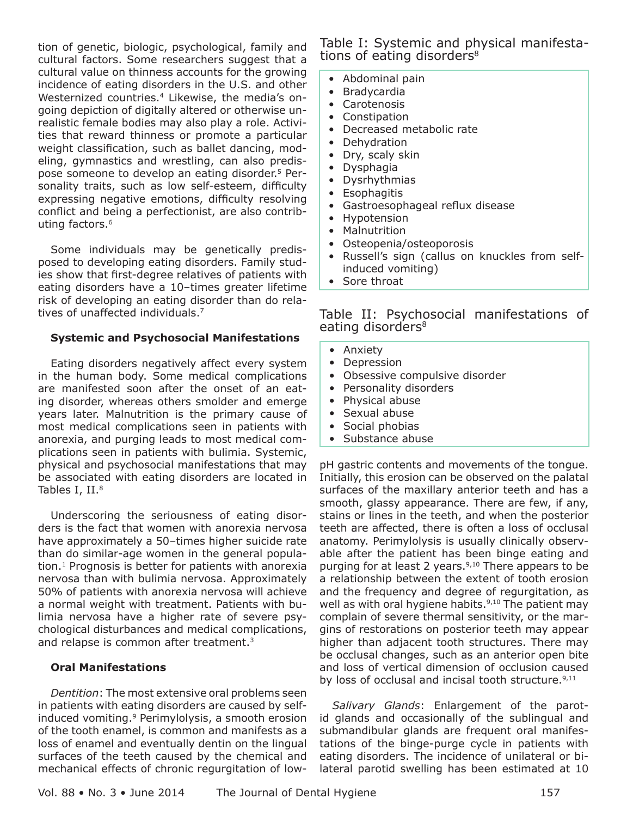tion of genetic, biologic, psychological, family and cultural factors. Some researchers suggest that a cultural value on thinness accounts for the growing incidence of eating disorders in the U.S. and other Westernized countries.<sup>4</sup> Likewise, the media's ongoing depiction of digitally altered or otherwise unrealistic female bodies may also play a role. Activities that reward thinness or promote a particular weight classification, such as ballet dancing, modeling, gymnastics and wrestling, can also predispose someone to develop an eating disorder.5 Personality traits, such as low self-esteem, difficulty expressing negative emotions, difficulty resolving conflict and being a perfectionist, are also contributing factors.<sup>6</sup>

Some individuals may be genetically predisposed to developing eating disorders. Family studies show that first-degree relatives of patients with eating disorders have a 10–times greater lifetime risk of developing an eating disorder than do relatives of unaffected individuals.7

#### **Systemic and Psychosocial Manifestations**

Eating disorders negatively affect every system in the human body. Some medical complications are manifested soon after the onset of an eating disorder, whereas others smolder and emerge years later. Malnutrition is the primary cause of most medical complications seen in patients with anorexia, and purging leads to most medical complications seen in patients with bulimia. Systemic, physical and psychosocial manifestations that may be associated with eating disorders are located in Tables I, II.8

Underscoring the seriousness of eating disorders is the fact that women with anorexia nervosa have approximately a 50–times higher suicide rate than do similar-age women in the general population. $<sup>1</sup>$  Prognosis is better for patients with anorexia</sup> nervosa than with bulimia nervosa. Approximately 50% of patients with anorexia nervosa will achieve a normal weight with treatment. Patients with bulimia nervosa have a higher rate of severe psychological disturbances and medical complications, and relapse is common after treatment.<sup>3</sup>

#### **Oral Manifestations**

*Dentition*: The most extensive oral problems seen in patients with eating disorders are caused by selfinduced vomiting.<sup>9</sup> Perimylolysis, a smooth erosion of the tooth enamel, is common and manifests as a loss of enamel and eventually dentin on the lingual surfaces of the teeth caused by the chemical and mechanical effects of chronic regurgitation of lowTable I: Systemic and physical manifestations of eating disorders<sup>8</sup>

- Abdominal pain
- Bradycardia
- Carotenosis
- **Constipation**
- Decreased metabolic rate
- **Dehydration**
- Dry, scaly skin
- Dysphagia
- Dysrhythmias
- Esophagitis
- Gastroesophageal reflux disease
- Hypotension
- Malnutrition
- Osteopenia/osteoporosis
- Russell's sign (callus on knuckles from selfinduced vomiting)
- Sore throat

Table II: Psychosocial manifestations of eating disorders<sup>8</sup>

- Anxiety
- Depression
- Obsessive compulsive disorder
- Personality disorders
- Physical abuse
- Sexual abuse
- Social phobias
- Substance abuse

pH gastric contents and movements of the tongue. Initially, this erosion can be observed on the palatal surfaces of the maxillary anterior teeth and has a smooth, glassy appearance. There are few, if any, stains or lines in the teeth, and when the posterior teeth are affected, there is often a loss of occlusal anatomy. Perimylolysis is usually clinically observable after the patient has been binge eating and purging for at least 2 years.<sup>9,10</sup> There appears to be a relationship between the extent of tooth erosion and the frequency and degree of regurgitation, as well as with oral hygiene habits. $9,10$  The patient may complain of severe thermal sensitivity, or the margins of restorations on posterior teeth may appear higher than adjacent tooth structures. There may be occlusal changes, such as an anterior open bite and loss of vertical dimension of occlusion caused by loss of occlusal and incisal tooth structure.<sup>9,11</sup>

*Salivary Glands*: Enlargement of the parotid glands and occasionally of the sublingual and submandibular glands are frequent oral manifestations of the binge-purge cycle in patients with eating disorders. The incidence of unilateral or bilateral parotid swelling has been estimated at 10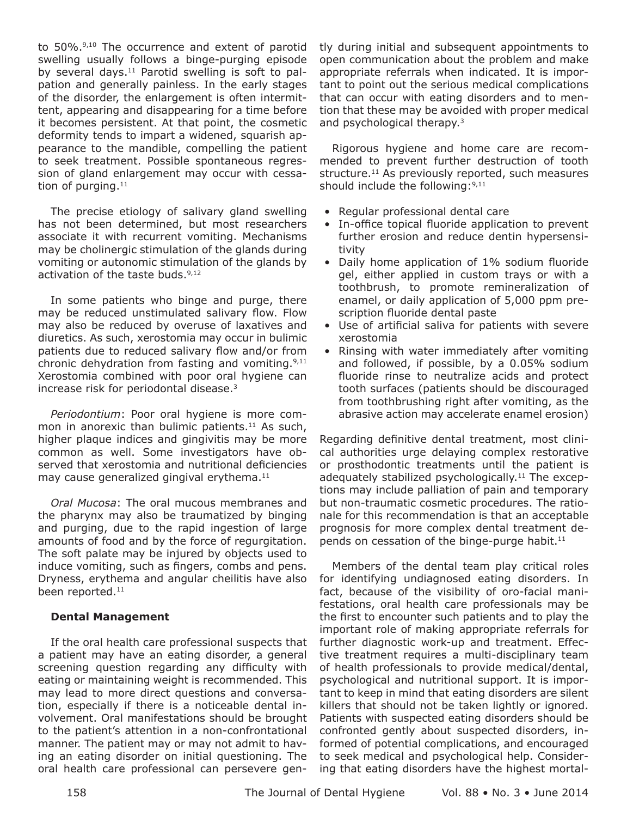to 50%.<sup>9,10</sup> The occurrence and extent of parotid swelling usually follows a binge-purging episode by several days. $11$  Parotid swelling is soft to palpation and generally painless. In the early stages of the disorder, the enlargement is often intermittent, appearing and disappearing for a time before it becomes persistent. At that point, the cosmetic deformity tends to impart a widened, squarish appearance to the mandible, compelling the patient to seek treatment. Possible spontaneous regression of gland enlargement may occur with cessation of purging. $11$ 

The precise etiology of salivary gland swelling has not been determined, but most researchers associate it with recurrent vomiting. Mechanisms may be cholinergic stimulation of the glands during vomiting or autonomic stimulation of the glands by activation of the taste buds.<sup>9,12</sup>

In some patients who binge and purge, there may be reduced unstimulated salivary flow. Flow may also be reduced by overuse of laxatives and diuretics. As such, xerostomia may occur in bulimic patients due to reduced salivary flow and/or from chronic dehydration from fasting and vomiting.<sup>9,11</sup> Xerostomia combined with poor oral hygiene can increase risk for periodontal disease.3

*Periodontium*: Poor oral hygiene is more common in anorexic than bulimic patients.<sup>11</sup> As such, higher plaque indices and gingivitis may be more common as well. Some investigators have observed that xerostomia and nutritional deficiencies may cause generalized gingival erythema.<sup>11</sup>

*Oral Mucosa*: The oral mucous membranes and the pharynx may also be traumatized by binging and purging, due to the rapid ingestion of large amounts of food and by the force of regurgitation. The soft palate may be injured by objects used to induce vomiting, such as fingers, combs and pens. Dryness, erythema and angular cheilitis have also been reported.<sup>11</sup>

#### **Dental Management**

If the oral health care professional suspects that a patient may have an eating disorder, a general screening question regarding any difficulty with eating or maintaining weight is recommended. This may lead to more direct questions and conversation, especially if there is a noticeable dental involvement. Oral manifestations should be brought to the patient's attention in a non-confrontational manner. The patient may or may not admit to having an eating disorder on initial questioning. The oral health care professional can persevere gently during initial and subsequent appointments to open communication about the problem and make appropriate referrals when indicated. It is important to point out the serious medical complications that can occur with eating disorders and to mention that these may be avoided with proper medical and psychological therapy.3

Rigorous hygiene and home care are recommended to prevent further destruction of tooth structure. $11$  As previously reported, such measures should include the following:  $9,11$ 

- Regular professional dental care
- In-office topical fluoride application to prevent further erosion and reduce dentin hypersensitivity
- Daily home application of 1% sodium fluoride gel, either applied in custom trays or with a toothbrush, to promote remineralization of enamel, or daily application of 5,000 ppm prescription fluoride dental paste
- Use of artificial saliva for patients with severe xerostomia
- Rinsing with water immediately after vomiting and followed, if possible, by a 0.05% sodium fluoride rinse to neutralize acids and protect tooth surfaces (patients should be discouraged from toothbrushing right after vomiting, as the abrasive action may accelerate enamel erosion)

Regarding definitive dental treatment, most clinical authorities urge delaying complex restorative or prosthodontic treatments until the patient is adequately stabilized psychologically.<sup>11</sup> The exceptions may include palliation of pain and temporary but non-traumatic cosmetic procedures. The rationale for this recommendation is that an acceptable prognosis for more complex dental treatment depends on cessation of the binge-purge habit.<sup>11</sup>

Members of the dental team play critical roles for identifying undiagnosed eating disorders. In fact, because of the visibility of oro-facial manifestations, oral health care professionals may be the first to encounter such patients and to play the important role of making appropriate referrals for further diagnostic work-up and treatment. Effective treatment requires a multi-disciplinary team of health professionals to provide medical/dental, psychological and nutritional support. It is important to keep in mind that eating disorders are silent killers that should not be taken lightly or ignored. Patients with suspected eating disorders should be confronted gently about suspected disorders, informed of potential complications, and encouraged to seek medical and psychological help. Considering that eating disorders have the highest mortal